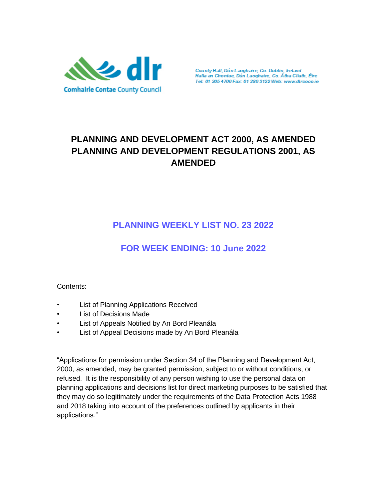

County Hall, Dún Laoghaire, Co. Dublin, Ireland<br>Halla an Chontae, Dún Laoghaire, Co. Átha Cliath, Éire Tel: 01 205 4700 Fax: 01 280 3122 Web: www.dlrcoco.ie

# **PLANNING AND DEVELOPMENT ACT 2000, AS AMENDED PLANNING AND DEVELOPMENT REGULATIONS 2001, AS AMENDED**

# **PLANNING WEEKLY LIST NO. 23 2022**

# **FOR WEEK ENDING: 10 June 2022**

#### Contents:

- List of Planning Applications Received
- **List of Decisions Made**
- List of Appeals Notified by An Bord Pleanála
- List of Appeal Decisions made by An Bord Pleanála

"Applications for permission under Section 34 of the Planning and Development Act, 2000, as amended, may be granted permission, subject to or without conditions, or refused. It is the responsibility of any person wishing to use the personal data on planning applications and decisions list for direct marketing purposes to be satisfied that they may do so legitimately under the requirements of the Data Protection Acts 1988 and 2018 taking into account of the preferences outlined by applicants in their applications."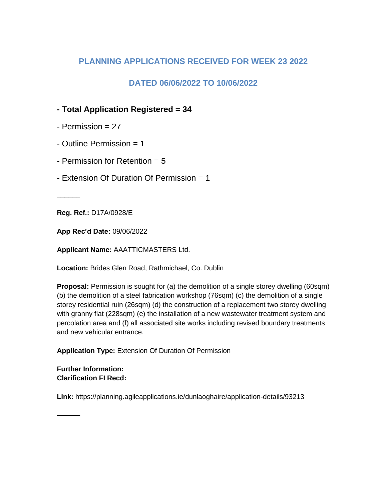## **PLANNING APPLICATIONS RECEIVED FOR WEEK 23 2022**

## **DATED 06/06/2022 TO 10/06/2022**

## **- Total Application Registered = 34**

- $-$  Permission  $= 27$
- Outline Permission = 1
- Permission for Retention = 5
- Extension Of Duration Of Permission = 1

**Reg. Ref.:** D17A/0928/E

 $\overline{\phantom{a}}$ 

**App Rec'd Date:** 09/06/2022

**Applicant Name:** AAATTICMASTERS Ltd.

**Location:** Brides Glen Road, Rathmichael, Co. Dublin

**Proposal:** Permission is sought for (a) the demolition of a single storey dwelling (60sqm) (b) the demolition of a steel fabrication workshop (76sqm) (c) the demolition of a single storey residential ruin (26sqm) (d) the construction of a replacement two storey dwelling with granny flat (228sqm) (e) the installation of a new wastewater treatment system and percolation area and (f) all associated site works including revised boundary treatments and new vehicular entrance.

**Application Type:** Extension Of Duration Of Permission

**Further Information: Clarification FI Recd:**

 $\sim$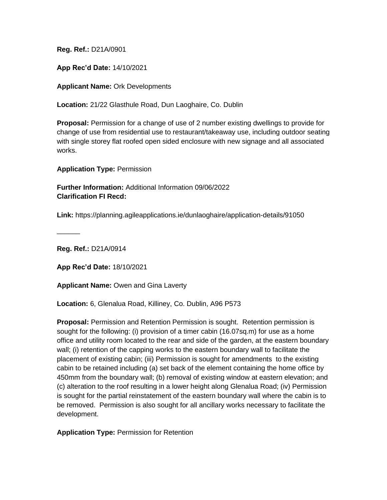**App Rec'd Date:** 14/10/2021

**Applicant Name:** Ork Developments

**Location:** 21/22 Glasthule Road, Dun Laoghaire, Co. Dublin

**Proposal:** Permission for a change of use of 2 number existing dwellings to provide for change of use from residential use to restaurant/takeaway use, including outdoor seating with single storey flat roofed open sided enclosure with new signage and all associated works.

**Application Type:** Permission

**Further Information:** Additional Information 09/06/2022 **Clarification FI Recd:**

**Link:** https://planning.agileapplications.ie/dunlaoghaire/application-details/91050

**Reg. Ref.:** D21A/0914

 $\overline{\phantom{a}}$ 

**App Rec'd Date:** 18/10/2021

**Applicant Name:** Owen and Gina Laverty

**Location:** 6, Glenalua Road, Killiney, Co. Dublin, A96 P573

**Proposal:** Permission and Retention Permission is sought. Retention permission is sought for the following: (i) provision of a timer cabin (16.07sq.m) for use as a home office and utility room located to the rear and side of the garden, at the eastern boundary wall; (i) retention of the capping works to the eastern boundary wall to facilitate the placement of existing cabin; (iii) Permission is sought for amendments to the existing cabin to be retained including (a) set back of the element containing the home office by 450mm from the boundary wall; (b) removal of existing window at eastern elevation; and (c) alteration to the roof resulting in a lower height along Glenalua Road; (iv) Permission is sought for the partial reinstatement of the eastern boundary wall where the cabin is to be removed. Permission is also sought for all ancillary works necessary to facilitate the development.

**Application Type:** Permission for Retention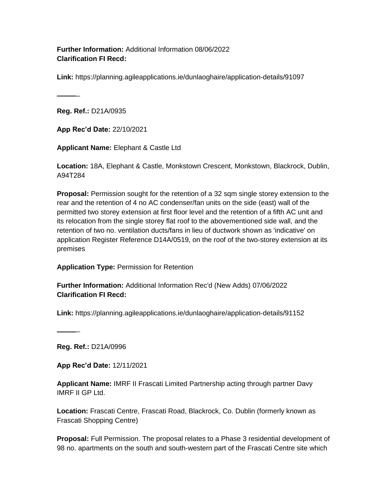**Further Information:** Additional Information 08/06/2022 **Clarification FI Recd:**

**Link:** https://planning.agileapplications.ie/dunlaoghaire/application-details/91097

 $\overline{\phantom{a}}$ 

**Reg. Ref.:** D21A/0935

**App Rec'd Date:** 22/10/2021

**Applicant Name:** Elephant & Castle Ltd

**Location:** 18A, Elephant & Castle, Monkstown Crescent, Monkstown, Blackrock, Dublin, A94T284

**Proposal:** Permission sought for the retention of a 32 sqm single storey extension to the rear and the retention of 4 no AC condenser/fan units on the side (east) wall of the permitted two storey extension at first floor level and the retention of a fifth AC unit and its relocation from the single storey flat roof to the abovementioned side wall, and the retention of two no. ventilation ducts/fans in lieu of ductwork shown as 'indicative' on application Register Reference D14A/0519, on the roof of the two-storey extension at its premises

#### **Application Type:** Permission for Retention

**Further Information:** Additional Information Rec'd (New Adds) 07/06/2022 **Clarification FI Recd:**

**Link:** https://planning.agileapplications.ie/dunlaoghaire/application-details/91152

**Reg. Ref.:** D21A/0996

 $\overline{\phantom{a}}$ 

**App Rec'd Date:** 12/11/2021

**Applicant Name:** IMRF II Frascati Limited Partnership acting through partner Davy IMRF II GP Ltd.

**Location:** Frascati Centre, Frascati Road, Blackrock, Co. Dublin (formerly known as Frascati Shopping Centre)

**Proposal:** Full Permission. The proposal relates to a Phase 3 residential development of 98 no. apartments on the south and south-western part of the Frascati Centre site which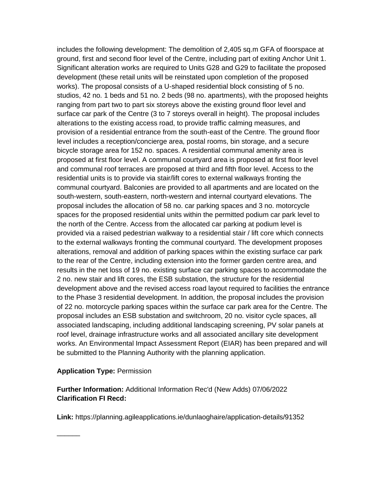includes the following development: The demolition of 2,405 sq.m GFA of floorspace at ground, first and second floor level of the Centre, including part of exiting Anchor Unit 1. Significant alteration works are required to Units G28 and G29 to facilitate the proposed development (these retail units will be reinstated upon completion of the proposed works). The proposal consists of a U-shaped residential block consisting of 5 no. studios, 42 no. 1 beds and 51 no. 2 beds (98 no. apartments), with the proposed heights ranging from part two to part six storeys above the existing ground floor level and surface car park of the Centre (3 to 7 storeys overall in height). The proposal includes alterations to the existing access road, to provide traffic calming measures, and provision of a residential entrance from the south-east of the Centre. The ground floor level includes a reception/concierge area, postal rooms, bin storage, and a secure bicycle storage area for 152 no. spaces. A residential communal amenity area is proposed at first floor level. A communal courtyard area is proposed at first floor level and communal roof terraces are proposed at third and fifth floor level. Access to the residential units is to provide via stair/lift cores to external walkways fronting the communal courtyard. Balconies are provided to all apartments and are located on the south-western, south-eastern, north-western and internal courtyard elevations. The proposal includes the allocation of 58 no. car parking spaces and 3 no. motorcycle spaces for the proposed residential units within the permitted podium car park level to the north of the Centre. Access from the allocated car parking at podium level is provided via a raised pedestrian walkway to a residential stair / lift core which connects to the external walkways fronting the communal courtyard. The development proposes alterations, removal and addition of parking spaces within the existing surface car park to the rear of the Centre, including extension into the former garden centre area, and results in the net loss of 19 no. existing surface car parking spaces to accommodate the 2 no. new stair and lift cores, the ESB substation, the structure for the residential development above and the revised access road layout required to facilities the entrance to the Phase 3 residential development. In addition, the proposal includes the provision of 22 no. motorcycle parking spaces within the surface car park area for the Centre. The proposal includes an ESB substation and switchroom, 20 no. visitor cycle spaces, all associated landscaping, including additional landscaping screening, PV solar panels at roof level, drainage infrastructure works and all associated ancillary site development works. An Environmental Impact Assessment Report (EIAR) has been prepared and will be submitted to the Planning Authority with the planning application.

#### **Application Type:** Permission

 $\overline{\phantom{a}}$ 

**Further Information:** Additional Information Rec'd (New Adds) 07/06/2022 **Clarification FI Recd:**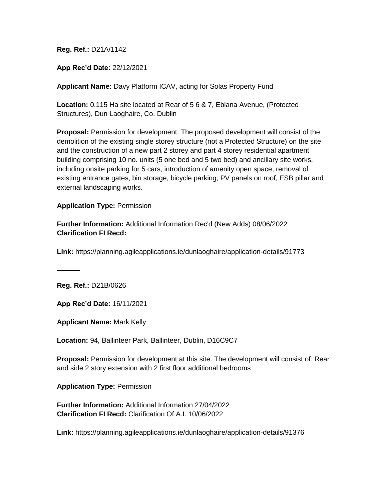**App Rec'd Date:** 22/12/2021

**Applicant Name:** Davy Platform ICAV, acting for Solas Property Fund

**Location:** 0.115 Ha site located at Rear of 5 6 & 7, Eblana Avenue, (Protected Structures), Dun Laoghaire, Co. Dublin

**Proposal:** Permission for development. The proposed development will consist of the demolition of the existing single storey structure (not a Protected Structure) on the site and the construction of a new part 2 storey and part 4 storey residential apartment building comprising 10 no. units (5 one bed and 5 two bed) and ancillary site works, including onsite parking for 5 cars, introduction of amenity open space, removal of existing entrance gates, bin storage, bicycle parking, PV panels on roof, ESB pillar and external landscaping works.

#### **Application Type:** Permission

**Further Information:** Additional Information Rec'd (New Adds) 08/06/2022 **Clarification FI Recd:**

**Link:** https://planning.agileapplications.ie/dunlaoghaire/application-details/91773

**Reg. Ref.:** D21B/0626

 $\overline{\phantom{a}}$ 

**App Rec'd Date:** 16/11/2021

**Applicant Name:** Mark Kelly

**Location:** 94, Ballinteer Park, Ballinteer, Dublin, D16C9C7

**Proposal:** Permission for development at this site. The development will consist of: Rear and side 2 story extension with 2 first floor additional bedrooms

**Application Type:** Permission

**Further Information:** Additional Information 27/04/2022 **Clarification FI Recd:** Clarification Of A.I. 10/06/2022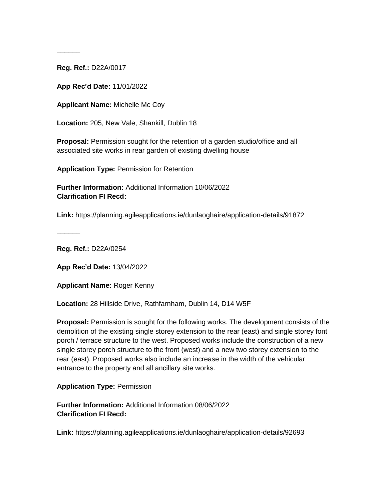$\sim$ 

**App Rec'd Date:** 11/01/2022

**Applicant Name:** Michelle Mc Coy

**Location:** 205, New Vale, Shankill, Dublin 18

**Proposal:** Permission sought for the retention of a garden studio/office and all associated site works in rear garden of existing dwelling house

**Application Type:** Permission for Retention

**Further Information:** Additional Information 10/06/2022 **Clarification FI Recd:**

**Link:** https://planning.agileapplications.ie/dunlaoghaire/application-details/91872

**Reg. Ref.:** D22A/0254

 $\overline{\phantom{a}}$ 

**App Rec'd Date:** 13/04/2022

**Applicant Name:** Roger Kenny

**Location:** 28 Hillside Drive, Rathfarnham, Dublin 14, D14 W5F

**Proposal:** Permission is sought for the following works. The development consists of the demolition of the existing single storey extension to the rear (east) and single storey font porch / terrace structure to the west. Proposed works include the construction of a new single storey porch structure to the front (west) and a new two storey extension to the rear (east). Proposed works also include an increase in the width of the vehicular entrance to the property and all ancillary site works.

**Application Type:** Permission

**Further Information:** Additional Information 08/06/2022 **Clarification FI Recd:**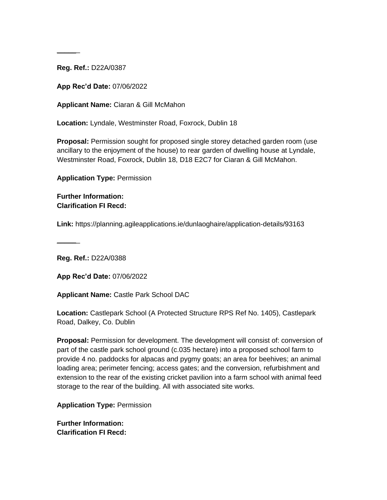$\sim$ 

**App Rec'd Date:** 07/06/2022

**Applicant Name:** Ciaran & Gill McMahon

**Location:** Lyndale, Westminster Road, Foxrock, Dublin 18

**Proposal:** Permission sought for proposed single storey detached garden room (use ancillary to the enjoyment of the house) to rear garden of dwelling house at Lyndale, Westminster Road, Foxrock, Dublin 18, D18 E2C7 for Ciaran & Gill McMahon.

**Application Type:** Permission

**Further Information: Clarification FI Recd:**

**Link:** https://planning.agileapplications.ie/dunlaoghaire/application-details/93163

**Reg. Ref.:** D22A/0388

 $\overline{\phantom{a}}$ 

**App Rec'd Date:** 07/06/2022

**Applicant Name:** Castle Park School DAC

**Location:** Castlepark School (A Protected Structure RPS Ref No. 1405), Castlepark Road, Dalkey, Co. Dublin

**Proposal:** Permission for development. The development will consist of: conversion of part of the castle park school ground (c.035 hectare) into a proposed school farm to provide 4 no. paddocks for alpacas and pygmy goats; an area for beehives; an animal loading area; perimeter fencing; access gates; and the conversion, refurbishment and extension to the rear of the existing cricket pavilion into a farm school with animal feed storage to the rear of the building. All with associated site works.

**Application Type:** Permission

**Further Information: Clarification FI Recd:**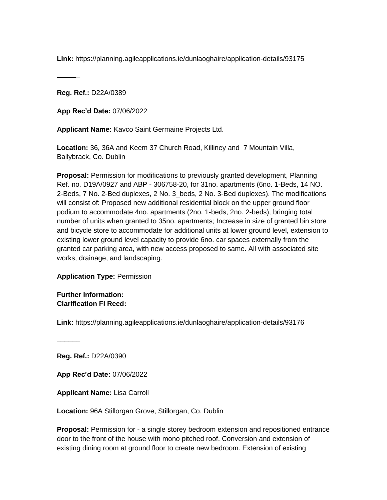**Link:** https://planning.agileapplications.ie/dunlaoghaire/application-details/93175

**Reg. Ref.:** D22A/0389

 $\overline{\phantom{a}}$ 

**App Rec'd Date:** 07/06/2022

**Applicant Name:** Kavco Saint Germaine Projects Ltd.

**Location:** 36, 36A and Keem 37 Church Road, Killiney and 7 Mountain Villa, Ballybrack, Co. Dublin

**Proposal:** Permission for modifications to previously granted development, Planning Ref. no. D19A/0927 and ABP - 306758-20, for 31no. apartments (6no. 1-Beds, 14 NO. 2-Beds, 7 No. 2-Bed duplexes, 2 No. 3\_beds, 2 No. 3-Bed duplexes). The modifications will consist of: Proposed new additional residential block on the upper ground floor podium to accommodate 4no. apartments (2no. 1-beds, 2no. 2-beds), bringing total number of units when granted to 35no. apartments; Increase in size of granted bin store and bicycle store to accommodate for additional units at lower ground level, extension to existing lower ground level capacity to provide 6no. car spaces externally from the granted car parking area, with new access proposed to same. All with associated site works, drainage, and landscaping.

**Application Type:** Permission

**Further Information: Clarification FI Recd:**

**Link:** https://planning.agileapplications.ie/dunlaoghaire/application-details/93176

**Reg. Ref.:** D22A/0390

 $\sim$ 

**App Rec'd Date:** 07/06/2022

**Applicant Name:** Lisa Carroll

**Location:** 96A Stillorgan Grove, Stillorgan, Co. Dublin

**Proposal:** Permission for - a single storey bedroom extension and repositioned entrance door to the front of the house with mono pitched roof. Conversion and extension of existing dining room at ground floor to create new bedroom. Extension of existing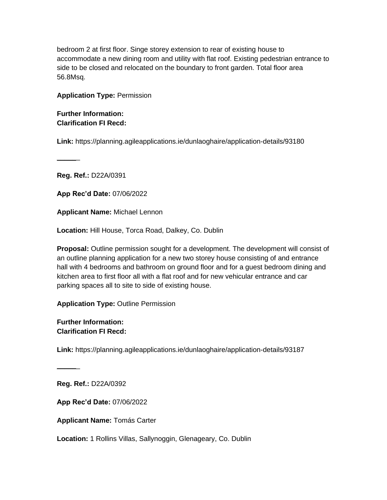bedroom 2 at first floor. Singe storey extension to rear of existing house to accommodate a new dining room and utility with flat roof. Existing pedestrian entrance to side to be closed and relocated on the boundary to front garden. Total floor area 56.8Msq.

#### **Application Type:** Permission

**Further Information: Clarification FI Recd:**

**Link:** https://planning.agileapplications.ie/dunlaoghaire/application-details/93180

**Reg. Ref.:** D22A/0391

 $\overline{\phantom{a}}$ 

**App Rec'd Date:** 07/06/2022

**Applicant Name:** Michael Lennon

**Location:** Hill House, Torca Road, Dalkey, Co. Dublin

**Proposal:** Outline permission sought for a development. The development will consist of an outline planning application for a new two storey house consisting of and entrance hall with 4 bedrooms and bathroom on ground floor and for a guest bedroom dining and kitchen area to first floor all with a flat roof and for new vehicular entrance and car parking spaces all to site to side of existing house.

**Application Type:** Outline Permission

**Further Information: Clarification FI Recd:**

**Link:** https://planning.agileapplications.ie/dunlaoghaire/application-details/93187

**Reg. Ref.:** D22A/0392

 $\overline{\phantom{a}}$ 

**App Rec'd Date:** 07/06/2022

**Applicant Name:** Tomás Carter

**Location:** 1 Rollins Villas, Sallynoggin, Glenageary, Co. Dublin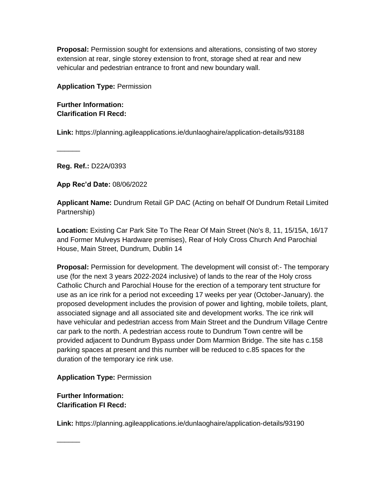**Proposal:** Permission sought for extensions and alterations, consisting of two storey extension at rear, single storey extension to front, storage shed at rear and new vehicular and pedestrian entrance to front and new boundary wall.

**Application Type:** Permission

**Further Information: Clarification FI Recd:**

**Link:** https://planning.agileapplications.ie/dunlaoghaire/application-details/93188

**Reg. Ref.:** D22A/0393

 $\overline{\phantom{a}}$ 

**App Rec'd Date:** 08/06/2022

**Applicant Name:** Dundrum Retail GP DAC (Acting on behalf Of Dundrum Retail Limited Partnership)

**Location:** Existing Car Park Site To The Rear Of Main Street (No's 8, 11, 15/15A, 16/17 and Former Mulveys Hardware premises), Rear of Holy Cross Church And Parochial House, Main Street, Dundrum, Dublin 14

**Proposal:** Permission for development. The development will consist of:- The temporary use (for the next 3 years 2022-2024 inclusive) of lands to the rear of the Holy cross Catholic Church and Parochial House for the erection of a temporary tent structure for use as an ice rink for a period not exceeding 17 weeks per year (October-January). the proposed development includes the provision of power and lighting, mobile toilets, plant, associated signage and all associated site and development works. The ice rink will have vehicular and pedestrian access from Main Street and the Dundrum Village Centre car park to the north. A pedestrian access route to Dundrum Town centre will be provided adjacent to Dundrum Bypass under Dom Marmion Bridge. The site has c.158 parking spaces at present and this number will be reduced to c.85 spaces for the duration of the temporary ice rink use.

**Application Type:** Permission

**Further Information: Clarification FI Recd:**

 $\sim$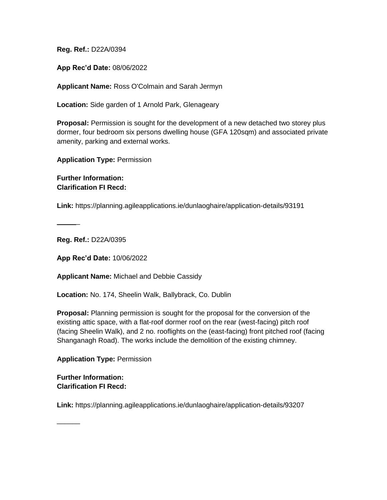**App Rec'd Date:** 08/06/2022

**Applicant Name:** Ross O'Colmain and Sarah Jermyn

**Location:** Side garden of 1 Arnold Park, Glenageary

**Proposal:** Permission is sought for the development of a new detached two storey plus dormer, four bedroom six persons dwelling house (GFA 120sqm) and associated private amenity, parking and external works.

**Application Type:** Permission

**Further Information: Clarification FI Recd:**

**Link:** https://planning.agileapplications.ie/dunlaoghaire/application-details/93191

**Reg. Ref.:** D22A/0395

 $\overline{\phantom{a}}$ 

**App Rec'd Date:** 10/06/2022

**Applicant Name:** Michael and Debbie Cassidy

**Location:** No. 174, Sheelin Walk, Ballybrack, Co. Dublin

**Proposal:** Planning permission is sought for the proposal for the conversion of the existing attic space, with a flat-roof dormer roof on the rear (west-facing) pitch roof (facing Sheelin Walk), and 2 no. rooflights on the (east-facing) front pitched roof (facing Shanganagh Road). The works include the demolition of the existing chimney.

**Application Type:** Permission

**Further Information: Clarification FI Recd:**

 $\overline{\phantom{a}}$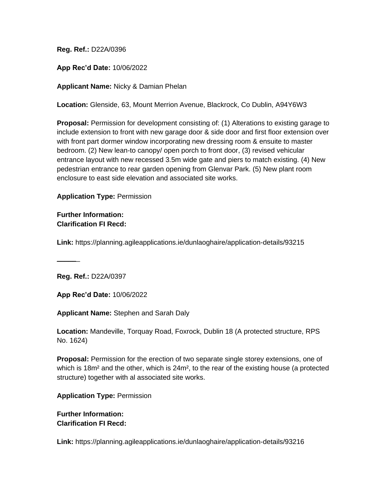**App Rec'd Date:** 10/06/2022

**Applicant Name:** Nicky & Damian Phelan

**Location:** Glenside, 63, Mount Merrion Avenue, Blackrock, Co Dublin, A94Y6W3

**Proposal:** Permission for development consisting of: (1) Alterations to existing garage to include extension to front with new garage door & side door and first floor extension over with front part dormer window incorporating new dressing room & ensuite to master bedroom. (2) New lean-to canopy/ open porch to front door, (3) revised vehicular entrance layout with new recessed 3.5m wide gate and piers to match existing. (4) New pedestrian entrance to rear garden opening from Glenvar Park. (5) New plant room enclosure to east side elevation and associated site works.

**Application Type:** Permission

#### **Further Information: Clarification FI Recd:**

**Link:** https://planning.agileapplications.ie/dunlaoghaire/application-details/93215

 $\sim$ 

**Reg. Ref.:** D22A/0397

**App Rec'd Date:** 10/06/2022

**Applicant Name:** Stephen and Sarah Daly

**Location:** Mandeville, Torquay Road, Foxrock, Dublin 18 (A protected structure, RPS No. 1624)

**Proposal:** Permission for the erection of two separate single storey extensions, one of which is 18m<sup>2</sup> and the other, which is 24m<sup>2</sup>, to the rear of the existing house (a protected structure) together with al associated site works.

**Application Type:** Permission

#### **Further Information: Clarification FI Recd:**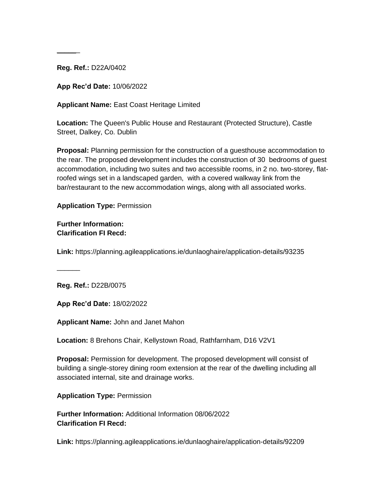$\sim$ 

**App Rec'd Date:** 10/06/2022

**Applicant Name:** East Coast Heritage Limited

**Location:** The Queen's Public House and Restaurant (Protected Structure), Castle Street, Dalkey, Co. Dublin

**Proposal:** Planning permission for the construction of a guesthouse accommodation to the rear. The proposed development includes the construction of 30 bedrooms of guest accommodation, including two suites and two accessible rooms, in 2 no. two-storey, flatroofed wings set in a landscaped garden, with a covered walkway link from the bar/restaurant to the new accommodation wings, along with all associated works.

**Application Type:** Permission

**Further Information: Clarification FI Recd:**

**Link:** https://planning.agileapplications.ie/dunlaoghaire/application-details/93235

**Reg. Ref.:** D22B/0075

 $\overline{\phantom{a}}$ 

**App Rec'd Date:** 18/02/2022

**Applicant Name:** John and Janet Mahon

**Location:** 8 Brehons Chair, Kellystown Road, Rathfarnham, D16 V2V1

**Proposal:** Permission for development. The proposed development will consist of building a single-storey dining room extension at the rear of the dwelling including all associated internal, site and drainage works.

**Application Type:** Permission

**Further Information:** Additional Information 08/06/2022 **Clarification FI Recd:**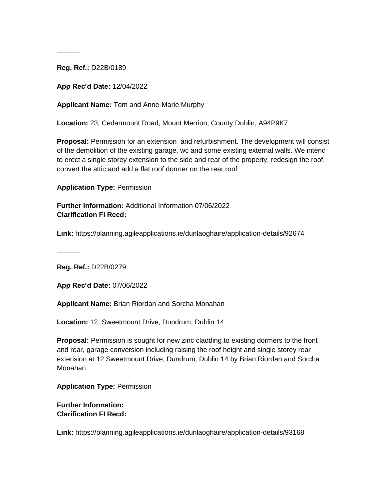$\sim$ 

**App Rec'd Date:** 12/04/2022

**Applicant Name:** Tom and Anne-Marie Murphy

**Location:** 23, Cedarmount Road, Mount Merrion, County Dublin, A94P9K7

**Proposal:** Permission for an extension and refurbishment. The development will consist of the demolition of the existing garage, wc and some existing external walls. We intend to erect a single storey extension to the side and rear of the property, redesign the roof, convert the attic and add a flat roof dormer on the rear roof

**Application Type:** Permission

**Further Information:** Additional Information 07/06/2022 **Clarification FI Recd:**

**Link:** https://planning.agileapplications.ie/dunlaoghaire/application-details/92674

**Reg. Ref.:** D22B/0279

 $\overline{\phantom{a}}$ 

**App Rec'd Date:** 07/06/2022

**Applicant Name:** Brian Riordan and Sorcha Monahan

**Location:** 12, Sweetmount Drive, Dundrum, Dublin 14

**Proposal:** Permission is sought for new zinc cladding to existing dormers to the front and rear, garage conversion including raising the roof height and single storey rear extension at 12 Sweetmount Drive, Dundrum, Dublin 14 by Brian Riordan and Sorcha Monahan.

**Application Type:** Permission

**Further Information: Clarification FI Recd:**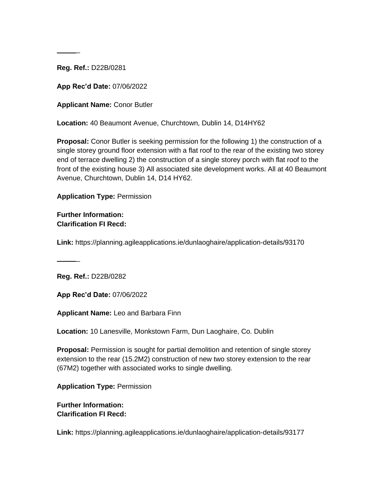$\sim$ 

**App Rec'd Date:** 07/06/2022

**Applicant Name:** Conor Butler

**Location:** 40 Beaumont Avenue, Churchtown, Dublin 14, D14HY62

**Proposal:** Conor Butler is seeking permission for the following 1) the construction of a single storey ground floor extension with a flat roof to the rear of the existing two storey end of terrace dwelling 2) the construction of a single storey porch with flat roof to the front of the existing house 3) All associated site development works. All at 40 Beaumont Avenue, Churchtown, Dublin 14, D14 HY62.

**Application Type:** Permission

#### **Further Information: Clarification FI Recd:**

**Link:** https://planning.agileapplications.ie/dunlaoghaire/application-details/93170

**Reg. Ref.:** D22B/0282

 $\sim$ 

**App Rec'd Date:** 07/06/2022

**Applicant Name:** Leo and Barbara Finn

**Location:** 10 Lanesville, Monkstown Farm, Dun Laoghaire, Co. Dublin

**Proposal:** Permission is sought for partial demolition and retention of single storey extension to the rear (15.2M2) construction of new two storey extension to the rear (67M2) together with associated works to single dwelling.

**Application Type:** Permission

**Further Information: Clarification FI Recd:**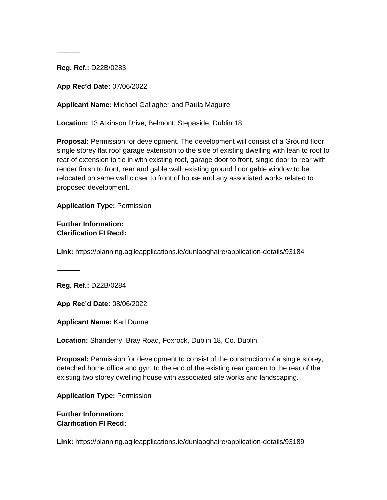$\sim$ 

**App Rec'd Date:** 07/06/2022

**Applicant Name:** Michael Gallagher and Paula Maguire

**Location:** 13 Atkinson Drive, Belmont, Stepaside, Dublin 18

**Proposal:** Permission for development. The development will consist of a Ground floor single storey flat roof garage extension to the side of existing dwelling with lean to roof to rear of extension to tie in with existing roof, garage door to front, single door to rear with render finish to front, rear and gable wall, existing ground floor gable window to be relocated on same wall closer to front of house and any associated works related to proposed development.

**Application Type:** Permission

**Further Information: Clarification FI Recd:**

**Link:** https://planning.agileapplications.ie/dunlaoghaire/application-details/93184

**Reg. Ref.:** D22B/0284

 $\overline{\phantom{a}}$ 

**App Rec'd Date:** 08/06/2022

**Applicant Name:** Karl Dunne

**Location:** Shanderry, Bray Road, Foxrock, Dublin 18, Co. Dublin

**Proposal:** Permission for development to consist of the construction of a single storey, detached home office and gym to the end of the existing rear garden to the rear of the existing two storey dwelling house with associated site works and landscaping.

**Application Type:** Permission

**Further Information: Clarification FI Recd:**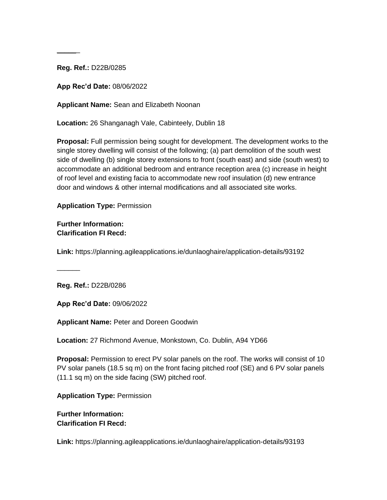$\sim$ 

**App Rec'd Date:** 08/06/2022

**Applicant Name:** Sean and Elizabeth Noonan

**Location:** 26 Shanganagh Vale, Cabinteely, Dublin 18

**Proposal:** Full permission being sought for development. The development works to the single storey dwelling will consist of the following; (a) part demolition of the south west side of dwelling (b) single storey extensions to front (south east) and side (south west) to accommodate an additional bedroom and entrance reception area (c) increase in height of roof level and existing facia to accommodate new roof insulation (d) new entrance door and windows & other internal modifications and all associated site works.

**Application Type:** Permission

**Further Information: Clarification FI Recd:**

**Link:** https://planning.agileapplications.ie/dunlaoghaire/application-details/93192

**Reg. Ref.:** D22B/0286

 $\overline{\phantom{a}}$ 

**App Rec'd Date:** 09/06/2022

**Applicant Name:** Peter and Doreen Goodwin

**Location:** 27 Richmond Avenue, Monkstown, Co. Dublin, A94 YD66

**Proposal:** Permission to erect PV solar panels on the roof. The works will consist of 10 PV solar panels (18.5 sq m) on the front facing pitched roof (SE) and 6 PV solar panels (11.1 sq m) on the side facing (SW) pitched roof.

**Application Type:** Permission

**Further Information: Clarification FI Recd:**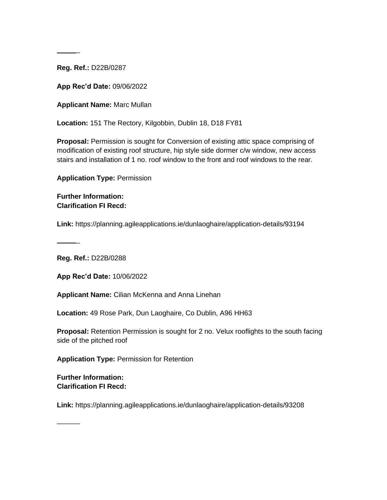$\sim$ 

**App Rec'd Date:** 09/06/2022

**Applicant Name:** Marc Mullan

**Location:** 151 The Rectory, Kilgobbin, Dublin 18, D18 FY81

**Proposal:** Permission is sought for Conversion of existing attic space comprising of modification of existing roof structure, hip style side dormer c/w window, new access stairs and installation of 1 no. roof window to the front and roof windows to the rear.

**Application Type:** Permission

**Further Information: Clarification FI Recd:**

**Link:** https://planning.agileapplications.ie/dunlaoghaire/application-details/93194

**Reg. Ref.:** D22B/0288

 $\overline{\phantom{a}}$ 

**App Rec'd Date:** 10/06/2022

**Applicant Name:** Cilian McKenna and Anna Linehan

**Location:** 49 Rose Park, Dun Laoghaire, Co Dublin, A96 HH63

**Proposal:** Retention Permission is sought for 2 no. Velux rooflights to the south facing side of the pitched roof

**Application Type:** Permission for Retention

**Further Information: Clarification FI Recd:**

 $\overline{\phantom{a}}$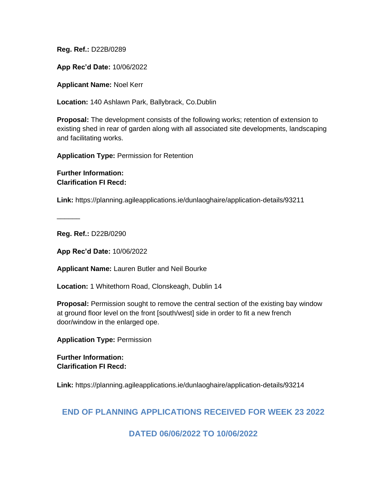**App Rec'd Date:** 10/06/2022

**Applicant Name:** Noel Kerr

**Location:** 140 Ashlawn Park, Ballybrack, Co.Dublin

**Proposal:** The development consists of the following works; retention of extension to existing shed in rear of garden along with all associated site developments, landscaping and facilitating works.

**Application Type:** Permission for Retention

**Further Information: Clarification FI Recd:**

**Link:** https://planning.agileapplications.ie/dunlaoghaire/application-details/93211

**Reg. Ref.:** D22B/0290

 $\overline{\phantom{a}}$ 

**App Rec'd Date:** 10/06/2022

**Applicant Name:** Lauren Butler and Neil Bourke

**Location:** 1 Whitethorn Road, Clonskeagh, Dublin 14

**Proposal:** Permission sought to remove the central section of the existing bay window at ground floor level on the front [south/west] side in order to fit a new french door/window in the enlarged ope.

**Application Type:** Permission

**Further Information: Clarification FI Recd:**

**Link:** https://planning.agileapplications.ie/dunlaoghaire/application-details/93214

### **END OF PLANNING APPLICATIONS RECEIVED FOR WEEK 23 2022**

**DATED 06/06/2022 TO 10/06/2022**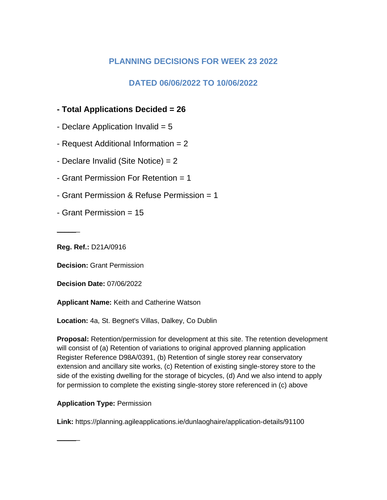## **PLANNING DECISIONS FOR WEEK 23 2022**

## **DATED 06/06/2022 TO 10/06/2022**

## **- Total Applications Decided = 26**

- Declare Application Invalid  $= 5$
- Request Additional Information = 2
- Declare Invalid (Site Notice) = 2
- Grant Permission For Retention = 1
- Grant Permission & Refuse Permission = 1
- Grant Permission = 15

**Reg. Ref.:** D21A/0916

 $\overline{\phantom{a}}$ 

 $\overline{\phantom{a}}$ 

**Decision:** Grant Permission

**Decision Date:** 07/06/2022

**Applicant Name:** Keith and Catherine Watson

**Location:** 4a, St. Begnet's Villas, Dalkey, Co Dublin

**Proposal:** Retention/permission for development at this site. The retention development will consist of (a) Retention of variations to original approved planning application Register Reference D98A/0391, (b) Retention of single storey rear conservatory extension and ancillary site works, (c) Retention of existing single-storey store to the side of the existing dwelling for the storage of bicycles, (d) And we also intend to apply for permission to complete the existing single-storey store referenced in (c) above

### **Application Type:** Permission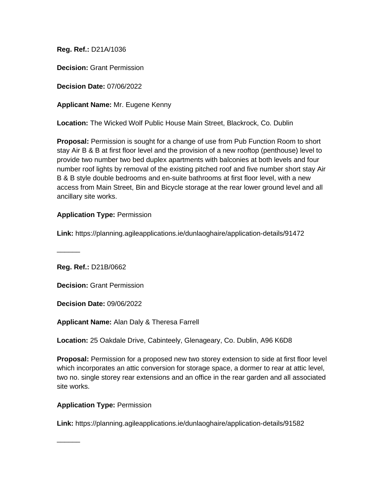**Decision:** Grant Permission

**Decision Date:** 07/06/2022

**Applicant Name:** Mr. Eugene Kenny

**Location:** The Wicked Wolf Public House Main Street, Blackrock, Co. Dublin

**Proposal:** Permission is sought for a change of use from Pub Function Room to short stay Air B & B at first floor level and the provision of a new rooftop (penthouse) level to provide two number two bed duplex apartments with balconies at both levels and four number roof lights by removal of the existing pitched roof and five number short stay Air B & B style double bedrooms and en-suite bathrooms at first floor level, with a new access from Main Street, Bin and Bicycle storage at the rear lower ground level and all ancillary site works.

#### **Application Type:** Permission

**Link:** https://planning.agileapplications.ie/dunlaoghaire/application-details/91472

**Reg. Ref.:** D21B/0662

 $\overline{\phantom{a}}$ 

 $\sim$ 

**Decision:** Grant Permission

**Decision Date:** 09/06/2022

**Applicant Name:** Alan Daly & Theresa Farrell

**Location:** 25 Oakdale Drive, Cabinteely, Glenageary, Co. Dublin, A96 K6D8

**Proposal:** Permission for a proposed new two storey extension to side at first floor level which incorporates an attic conversion for storage space, a dormer to rear at attic level, two no. single storey rear extensions and an office in the rear garden and all associated site works.

#### **Application Type:** Permission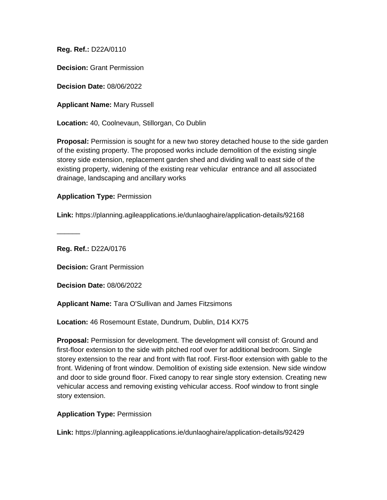**Decision:** Grant Permission

**Decision Date:** 08/06/2022

**Applicant Name:** Mary Russell

**Location:** 40, Coolnevaun, Stillorgan, Co Dublin

**Proposal:** Permission is sought for a new two storey detached house to the side garden of the existing property. The proposed works include demolition of the existing single storey side extension, replacement garden shed and dividing wall to east side of the existing property, widening of the existing rear vehicular entrance and all associated drainage, landscaping and ancillary works

#### **Application Type:** Permission

**Link:** https://planning.agileapplications.ie/dunlaoghaire/application-details/92168

 $\overline{\phantom{a}}$ 

**Reg. Ref.:** D22A/0176

**Decision:** Grant Permission

**Decision Date:** 08/06/2022

**Applicant Name:** Tara O'Sullivan and James Fitzsimons

**Location:** 46 Rosemount Estate, Dundrum, Dublin, D14 KX75

**Proposal:** Permission for development. The development will consist of: Ground and first-floor extension to the side with pitched roof over for additional bedroom. Single storey extension to the rear and front with flat roof. First-floor extension with gable to the front. Widening of front window. Demolition of existing side extension. New side window and door to side ground floor. Fixed canopy to rear single story extension. Creating new vehicular access and removing existing vehicular access. Roof window to front single story extension.

#### **Application Type:** Permission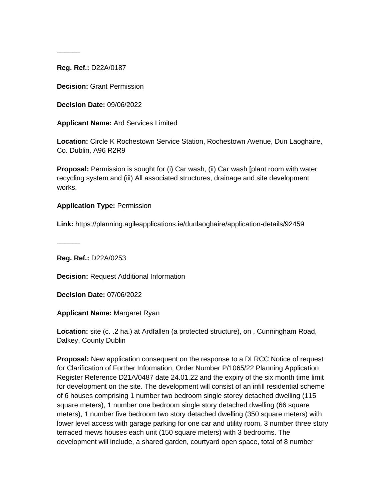$\sim$ 

**Decision:** Grant Permission

**Decision Date:** 09/06/2022

**Applicant Name:** Ard Services Limited

**Location:** Circle K Rochestown Service Station, Rochestown Avenue, Dun Laoghaire, Co. Dublin, A96 R2R9

**Proposal:** Permission is sought for (i) Car wash, (ii) Car wash [plant room with water recycling system and (iii) All associated structures, drainage and site development works.

#### **Application Type:** Permission

**Link:** https://planning.agileapplications.ie/dunlaoghaire/application-details/92459

**Reg. Ref.:** D22A/0253

 $\overline{\phantom{a}}$ 

**Decision:** Request Additional Information

**Decision Date:** 07/06/2022

**Applicant Name:** Margaret Ryan

**Location:** site (c. .2 ha.) at Ardfallen (a protected structure), on , Cunningham Road, Dalkey, County Dublin

**Proposal:** New application consequent on the response to a DLRCC Notice of request for Clarification of Further Information, Order Number P/1065/22 Planning Application Register Reference D21A/0487 date 24.01.22 and the expiry of the six month time limit for development on the site. The development will consist of an infill residential scheme of 6 houses comprising 1 number two bedroom single storey detached dwelling (115 square meters), 1 number one bedroom single story detached dwelling (66 square meters), 1 number five bedroom two story detached dwelling (350 square meters) with lower level access with garage parking for one car and utility room, 3 number three story terraced mews houses each unit (150 square meters) with 3 bedrooms. The development will include, a shared garden, courtyard open space, total of 8 number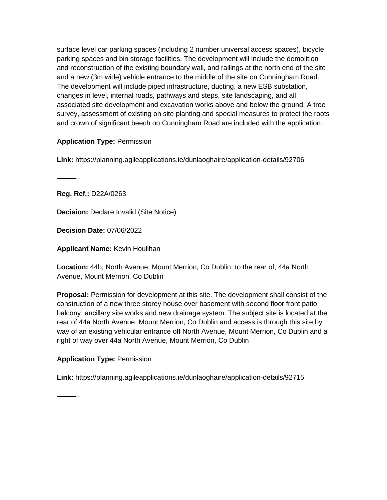surface level car parking spaces (including 2 number universal access spaces), bicycle parking spaces and bin storage facilities. The development will include the demolition and reconstruction of the existing boundary wall, and railings at the north end of the site and a new (3m wide) vehicle entrance to the middle of the site on Cunningham Road. The development will include piped infrastructure, ducting, a new ESB substation, changes in level, internal roads, pathways and steps, site landscaping, and all associated site development and excavation works above and below the ground. A tree survey, assessment of existing on site planting and special measures to protect the roots and crown of significant beech on Cunningham Road are included with the application.

### **Application Type:** Permission

**Link:** https://planning.agileapplications.ie/dunlaoghaire/application-details/92706

**Reg. Ref.:** D22A/0263

 $\sim$ 

**Decision:** Declare Invalid (Site Notice)

**Decision Date:** 07/06/2022

**Applicant Name:** Kevin Houlihan

**Location:** 44b, North Avenue, Mount Merrion, Co Dublin, to the rear of, 44a North Avenue, Mount Merrion, Co Dublin

**Proposal:** Permission for development at this site. The development shall consist of the construction of a new three storey house over basement with second floor front patio balcony, ancillary site works and new drainage system. The subject site is located at the rear of 44a North Avenue, Mount Merrion, Co Dublin and access is through this site by way of an existing vehicular entrance off North Avenue, Mount Merrion, Co Dublin and a right of way over 44a North Avenue, Mount Merrion, Co Dublin

#### **Application Type:** Permission

 $\overline{\phantom{a}}$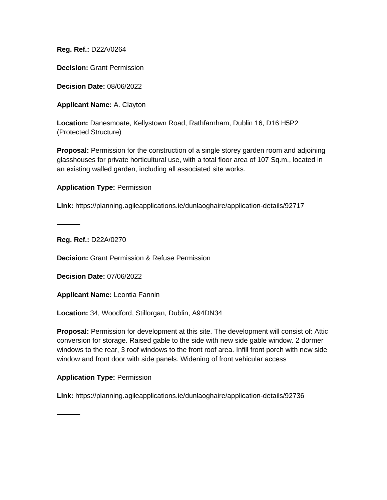**Decision:** Grant Permission

**Decision Date:** 08/06/2022

**Applicant Name:** A. Clayton

**Location:** Danesmoate, Kellystown Road, Rathfarnham, Dublin 16, D16 H5P2 (Protected Structure)

**Proposal:** Permission for the construction of a single storey garden room and adjoining glasshouses for private horticultural use, with a total floor area of 107 Sq.m., located in an existing walled garden, including all associated site works.

**Application Type:** Permission

**Link:** https://planning.agileapplications.ie/dunlaoghaire/application-details/92717

**Reg. Ref.:** D22A/0270

 $\overline{\phantom{a}}$ 

 $\overline{\phantom{a}}$ 

**Decision:** Grant Permission & Refuse Permission

**Decision Date:** 07/06/2022

**Applicant Name:** Leontia Fannin

**Location:** 34, Woodford, Stillorgan, Dublin, A94DN34

**Proposal:** Permission for development at this site. The development will consist of: Attic conversion for storage. Raised gable to the side with new side gable window. 2 dormer windows to the rear, 3 roof windows to the front roof area. Infill front porch with new side window and front door with side panels. Widening of front vehicular access

#### **Application Type:** Permission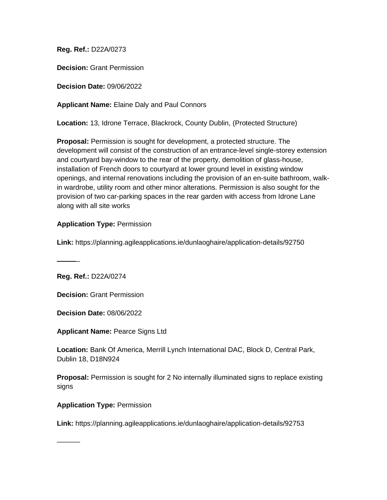**Decision:** Grant Permission

**Decision Date:** 09/06/2022

**Applicant Name:** Elaine Daly and Paul Connors

**Location:** 13, Idrone Terrace, Blackrock, County Dublin, (Protected Structure)

**Proposal:** Permission is sought for development, a protected structure. The development will consist of the construction of an entrance-level single-storey extension and courtyard bay-window to the rear of the property, demolition of glass-house, installation of French doors to courtyard at lower ground level in existing window openings, and internal renovations including the provision of an en-suite bathroom, walkin wardrobe, utility room and other minor alterations. Permission is also sought for the provision of two car-parking spaces in the rear garden with access from Idrone Lane along with all site works

#### **Application Type:** Permission

**Link:** https://planning.agileapplications.ie/dunlaoghaire/application-details/92750

**Reg. Ref.:** D22A/0274

 $\sim$ 

 $\sim$ 

**Decision:** Grant Permission

**Decision Date:** 08/06/2022

**Applicant Name:** Pearce Signs Ltd

**Location:** Bank Of America, Merrill Lynch International DAC, Block D, Central Park, Dublin 18, D18N924

**Proposal:** Permission is sought for 2 No internally illuminated signs to replace existing signs

**Application Type:** Permission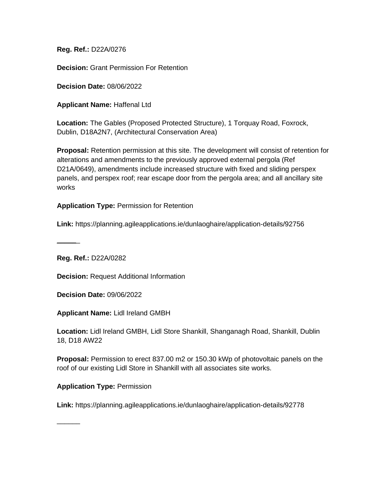**Decision:** Grant Permission For Retention

**Decision Date:** 08/06/2022

**Applicant Name:** Haffenal Ltd

**Location:** The Gables (Proposed Protected Structure), 1 Torquay Road, Foxrock, Dublin, D18A2N7, (Architectural Conservation Area)

**Proposal:** Retention permission at this site. The development will consist of retention for alterations and amendments to the previously approved external pergola (Ref D21A/0649), amendments include increased structure with fixed and sliding perspex panels, and perspex roof; rear escape door from the pergola area; and all ancillary site works

**Application Type:** Permission for Retention

**Link:** https://planning.agileapplications.ie/dunlaoghaire/application-details/92756

**Reg. Ref.:** D22A/0282

 $\overline{\phantom{a}}$ 

 $\overline{\phantom{a}}$ 

**Decision:** Request Additional Information

**Decision Date:** 09/06/2022

**Applicant Name:** Lidl Ireland GMBH

**Location:** Lidl Ireland GMBH, Lidl Store Shankill, Shanganagh Road, Shankill, Dublin 18, D18 AW22

**Proposal:** Permission to erect 837.00 m2 or 150.30 kWp of photovoltaic panels on the roof of our existing Lidl Store in Shankill with all associates site works.

**Application Type:** Permission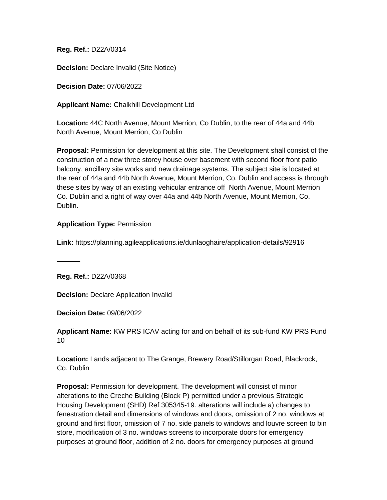**Decision:** Declare Invalid (Site Notice)

**Decision Date:** 07/06/2022

**Applicant Name:** Chalkhill Development Ltd

**Location:** 44C North Avenue, Mount Merrion, Co Dublin, to the rear of 44a and 44b North Avenue, Mount Merrion, Co Dublin

**Proposal:** Permission for development at this site. The Development shall consist of the construction of a new three storey house over basement with second floor front patio balcony, ancillary site works and new drainage systems. The subject site is located at the rear of 44a and 44b North Avenue, Mount Merrion, Co. Dublin and access is through these sites by way of an existing vehicular entrance off North Avenue, Mount Merrion Co. Dublin and a right of way over 44a and 44b North Avenue, Mount Merrion, Co. Dublin.

#### **Application Type:** Permission

**Link:** https://planning.agileapplications.ie/dunlaoghaire/application-details/92916

**Reg. Ref.:** D22A/0368

 $\sim$ 

**Decision:** Declare Application Invalid

**Decision Date:** 09/06/2022

**Applicant Name:** KW PRS ICAV acting for and on behalf of its sub-fund KW PRS Fund 10

**Location:** Lands adjacent to The Grange, Brewery Road/Stillorgan Road, Blackrock, Co. Dublin

**Proposal:** Permission for development. The development will consist of minor alterations to the Creche Building (Block P) permitted under a previous Strategic Housing Development (SHD) Ref 305345-19. alterations will include a) changes to fenestration detail and dimensions of windows and doors, omission of 2 no. windows at ground and first floor, omission of 7 no. side panels to windows and louvre screen to bin store, modification of 3 no. windows screens to incorporate doors for emergency purposes at ground floor, addition of 2 no. doors for emergency purposes at ground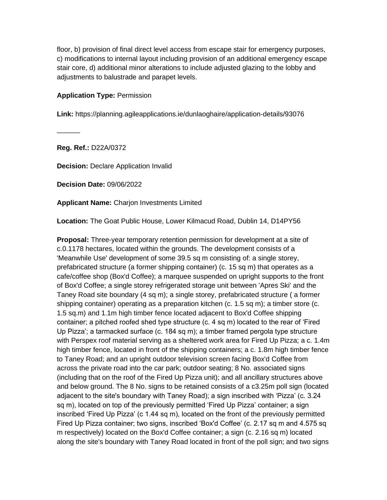floor, b) provision of final direct level access from escape stair for emergency purposes, c) modifications to internal layout including provision of an additional emergency escape stair core, d) additional minor alterations to include adjusted glazing to the lobby and adjustments to balustrade and parapet levels.

#### **Application Type:** Permission

**Link:** https://planning.agileapplications.ie/dunlaoghaire/application-details/93076

**Reg. Ref.:** D22A/0372

 $\sim$ 

**Decision:** Declare Application Invalid

**Decision Date:** 09/06/2022

**Applicant Name:** Charjon Investments Limited

**Location:** The Goat Public House, Lower Kilmacud Road, Dublin 14, D14PY56

**Proposal:** Three-year temporary retention permission for development at a site of c.0.1178 hectares, located within the grounds. The development consists of a 'Meanwhile Use' development of some 39.5 sq m consisting of: a single storey, prefabricated structure (a former shipping container) (c. 15 sq m) that operates as a cafe/coffee shop (Box'd Coffee); a marquee suspended on upright supports to the front of Box'd Coffee; a single storey refrigerated storage unit between 'Apres Ski' and the Taney Road site boundary (4 sq m); a single storey, prefabricated structure ( a former shipping container) operating as a preparation kitchen (c. 1.5 sq m); a timber store (c. 1.5 sq.m) and 1.1m high timber fence located adjacent to Box'd Coffee shipping container; a pitched roofed shed type structure (c. 4 sq m) located to the rear of 'Fired Up Pizza'; a tarmacked surface (c. 184 sq m); a timber framed pergola type structure with Perspex roof material serving as a sheltered work area for Fired Up Pizza; a c. 1.4m high timber fence, located in front of the shipping containers; a c. 1.8m high timber fence to Taney Road; and an upright outdoor television screen facing Box'd Coffee from across the private road into the car park; outdoor seating; 8 No. associated signs (including that on the roof of the Fired Up Pizza unit); and all ancillary structures above and below ground. The 8 No. signs to be retained consists of a c3.25m poll sign (located adjacent to the site's boundary with Taney Road); a sign inscribed with 'Pizza' (c. 3.24 sq m), located on top of the previously permitted 'Fired Up Pizza' container; a sign inscribed 'Fired Up Pizza' (c 1.44 sq m), located on the front of the previously permitted Fired Up Pizza container; two signs, inscribed 'Box'd Coffee' (c. 2.17 sq m and 4.575 sq m respectively) located on the Box'd Coffee container; a sign (c. 2.16 sq m) located along the site's boundary with Taney Road located in front of the poll sign; and two signs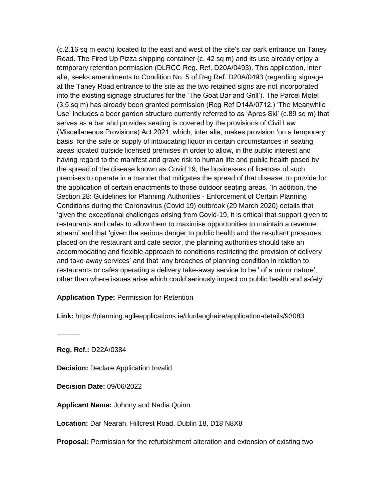(c.2.16 sq m each) located to the east and west of the site's car park entrance on Taney Road. The Fired Up Pizza shipping container (c. 42 sq m) and its use already enjoy a temporary retention permission (DLRCC Reg. Ref. D20A/0493). This application, inter alia, seeks amendments to Condition No. 5 of Reg Ref. D20A/0493 (regarding signage at the Taney Road entrance to the site as the two retained signs are not incorporated into the existing signage structures for the 'The Goat Bar and Grill'). The Parcel Motel (3.5 sq m) has already been granted permission (Reg Ref D14A/0712.) 'The Meanwhile Use' includes a beer garden structure currently referred to as 'Apres Ski' (c.89 sq m) that serves as a bar and provides seating is covered by the provisions of Civil Law (Miscellaneous Provisions) Act 2021, which, inter alia, makes provision 'on a temporary basis, for the sale or supply of intoxicating liquor in certain circumstances in seating areas located outside licensed premises in order to allow, in the public interest and having regard to the manifest and grave risk to human life and public health posed by the spread of the disease known as Covid 19, the businesses of licences of such premises to operate in a manner that mitigates the spread of that disease; to provide for the application of certain enactments to those outdoor seating areas. 'In addition, the Section 28: Guidelines for Planning Authorities - Enforcement of Certain Planning Conditions during the Coronavirus (Covid 19) outbreak (29 March 2020) details that 'given the exceptional challenges arising from Covid-19, it is critical that support given to restaurants and cafes to allow them to maximise opportunities to maintain a revenue stream' and that 'given the serious danger to public health and the resultant pressures placed on the restaurant and cafe sector, the planning authorities should take an accommodating and flexible approach to conditions restricting the provision of delivery and take-away services' and that 'any breaches of planning condition in relation to restaurants or cafes operating a delivery take-away service to be ' of a minor nature', other than where issues arise which could seriously impact on public health and safety'

#### **Application Type:** Permission for Retention

**Link:** https://planning.agileapplications.ie/dunlaoghaire/application-details/93083

**Reg. Ref.:** D22A/0384

 $\overline{\phantom{a}}$ 

**Decision:** Declare Application Invalid

**Decision Date:** 09/06/2022

**Applicant Name:** Johnny and Nadia Quinn

**Location:** Dar Nearah, Hillcrest Road, Dublin 18, D18 N8X8

**Proposal:** Permission for the refurbishment alteration and extension of existing two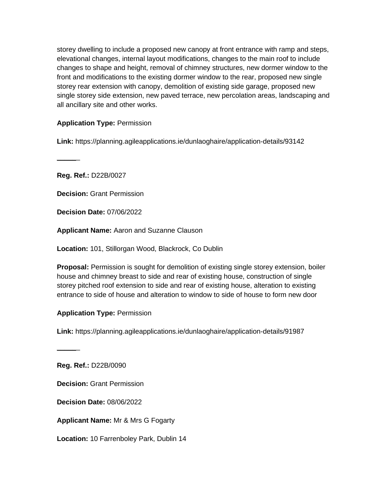storey dwelling to include a proposed new canopy at front entrance with ramp and steps, elevational changes, internal layout modifications, changes to the main roof to include changes to shape and height, removal of chimney structures, new dormer window to the front and modifications to the existing dormer window to the rear, proposed new single storey rear extension with canopy, demolition of existing side garage, proposed new single storey side extension, new paved terrace, new percolation areas, landscaping and all ancillary site and other works.

#### **Application Type:** Permission

**Link:** https://planning.agileapplications.ie/dunlaoghaire/application-details/93142

**Reg. Ref.:** D22B/0027

 $\overline{\phantom{a}}$ 

**Decision:** Grant Permission

**Decision Date:** 07/06/2022

**Applicant Name:** Aaron and Suzanne Clauson

**Location:** 101, Stillorgan Wood, Blackrock, Co Dublin

**Proposal:** Permission is sought for demolition of existing single storey extension, boiler house and chimney breast to side and rear of existing house, construction of single storey pitched roof extension to side and rear of existing house, alteration to existing entrance to side of house and alteration to window to side of house to form new door

**Application Type:** Permission

**Link:** https://planning.agileapplications.ie/dunlaoghaire/application-details/91987

**Reg. Ref.:** D22B/0090

 $\overline{\phantom{a}}$ 

**Decision:** Grant Permission

**Decision Date:** 08/06/2022

**Applicant Name:** Mr & Mrs G Fogarty

**Location:** 10 Farrenboley Park, Dublin 14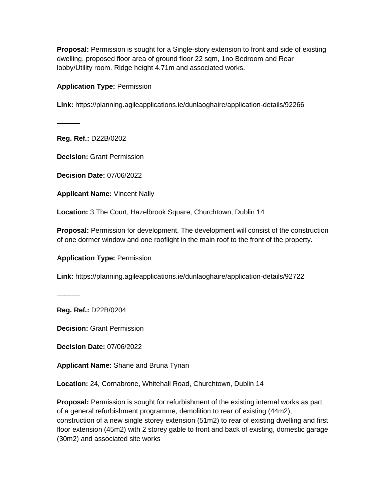**Proposal:** Permission is sought for a Single-story extension to front and side of existing dwelling, proposed floor area of ground floor 22 sqm, 1no Bedroom and Rear lobby/Utility room. Ridge height 4.71m and associated works.

#### **Application Type:** Permission

**Link:** https://planning.agileapplications.ie/dunlaoghaire/application-details/92266

**Reg. Ref.:** D22B/0202

 $\overline{\phantom{a}}$ 

**Decision:** Grant Permission

**Decision Date:** 07/06/2022

**Applicant Name:** Vincent Nally

**Location:** 3 The Court, Hazelbrook Square, Churchtown, Dublin 14

**Proposal:** Permission for development. The development will consist of the construction of one dormer window and one rooflight in the main roof to the front of the property.

**Application Type:** Permission

**Link:** https://planning.agileapplications.ie/dunlaoghaire/application-details/92722

**Reg. Ref.:** D22B/0204

 $\overline{\phantom{a}}$ 

**Decision:** Grant Permission

**Decision Date:** 07/06/2022

**Applicant Name:** Shane and Bruna Tynan

**Location:** 24, Cornabrone, Whitehall Road, Churchtown, Dublin 14

**Proposal:** Permission is sought for refurbishment of the existing internal works as part of a general refurbishment programme, demolition to rear of existing (44m2), construction of a new single storey extension (51m2) to rear of existing dwelling and first floor extension (45m2) with 2 storey gable to front and back of existing, domestic garage (30m2) and associated site works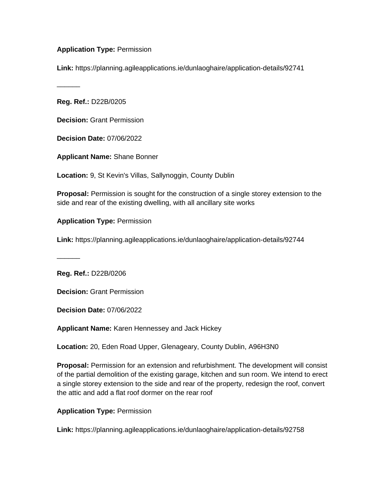#### **Application Type:** Permission

**Link:** https://planning.agileapplications.ie/dunlaoghaire/application-details/92741

**Reg. Ref.:** D22B/0205

 $\sim$ 

**Decision:** Grant Permission

**Decision Date:** 07/06/2022

**Applicant Name:** Shane Bonner

**Location:** 9, St Kevin's Villas, Sallynoggin, County Dublin

**Proposal:** Permission is sought for the construction of a single storey extension to the side and rear of the existing dwelling, with all ancillary site works

**Application Type:** Permission

**Link:** https://planning.agileapplications.ie/dunlaoghaire/application-details/92744

**Reg. Ref.:** D22B/0206

 $\overline{\phantom{a}}$ 

**Decision:** Grant Permission

**Decision Date:** 07/06/2022

**Applicant Name:** Karen Hennessey and Jack Hickey

**Location:** 20, Eden Road Upper, Glenageary, County Dublin, A96H3N0

**Proposal:** Permission for an extension and refurbishment. The development will consist of the partial demolition of the existing garage, kitchen and sun room. We intend to erect a single storey extension to the side and rear of the property, redesign the roof, convert the attic and add a flat roof dormer on the rear roof

#### **Application Type:** Permission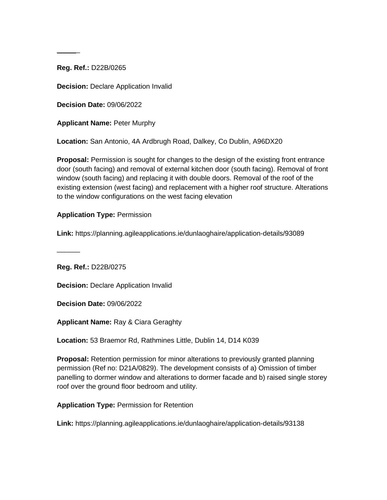$\sim$ 

**Decision:** Declare Application Invalid

**Decision Date:** 09/06/2022

**Applicant Name:** Peter Murphy

**Location:** San Antonio, 4A Ardbrugh Road, Dalkey, Co Dublin, A96DX20

**Proposal:** Permission is sought for changes to the design of the existing front entrance door (south facing) and removal of external kitchen door (south facing). Removal of front window (south facing) and replacing it with double doors. Removal of the roof of the existing extension (west facing) and replacement with a higher roof structure. Alterations to the window configurations on the west facing elevation

#### **Application Type:** Permission

**Link:** https://planning.agileapplications.ie/dunlaoghaire/application-details/93089

**Reg. Ref.:** D22B/0275

 $\overline{\phantom{a}}$ 

**Decision:** Declare Application Invalid

**Decision Date:** 09/06/2022

**Applicant Name:** Ray & Ciara Geraghty

**Location:** 53 Braemor Rd, Rathmines Little, Dublin 14, D14 K039

**Proposal:** Retention permission for minor alterations to previously granted planning permission (Ref no: D21A/0829). The development consists of a) Omission of timber panelling to dormer window and alterations to dormer facade and b) raised single storey roof over the ground floor bedroom and utility.

**Application Type:** Permission for Retention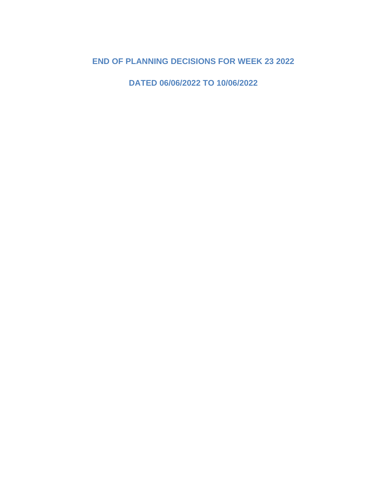# **END OF PLANNING DECISIONS FOR WEEK 23 2022**

**DATED 06/06/2022 TO 10/06/2022**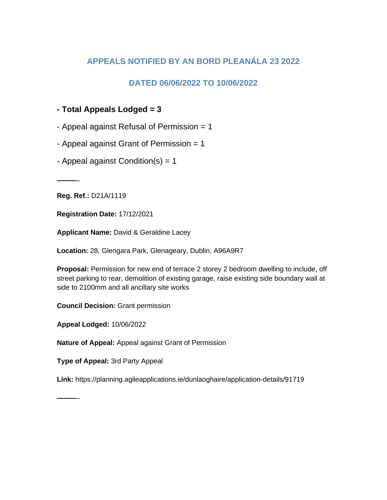## **APPEALS NOTIFIED BY AN BORD PLEANÁLA 23 2022**

## **DATED 06/06/2022 TO 10/06/2022**

- **- Total Appeals Lodged = 3**
- Appeal against Refusal of Permission = 1
- Appeal against Grant of Permission = 1
- Appeal against Condition(s) =  $1$

**Reg. Ref.:** D21A/1119

 $\overline{\phantom{a}}$ 

**Registration Date:** 17/12/2021

**Applicant Name:** David & Geraldine Lacey

**Location:** 28, Glengara Park, Glenageary, Dublin, A96A9R7

**Proposal:** Permission for new end of terrace 2 storey 2 bedroom dwelling to include, off street parking to rear, demolition of existing garage, raise existing side boundary wall at side to 2100mm and all ancillary site works

**Council Decision:** Grant permission

**Appeal Lodged:** 10/06/2022

**Nature of Appeal:** Appeal against Grant of Permission

**Type of Appeal:** 3rd Party Appeal

**Link:** https://planning.agileapplications.ie/dunlaoghaire/application-details/91719

 $\overline{\phantom{a}}$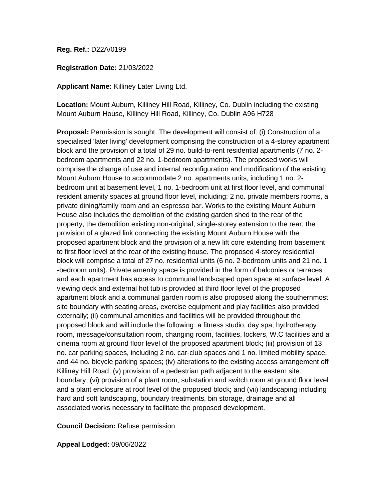**Registration Date:** 21/03/2022

**Applicant Name:** Killiney Later Living Ltd.

**Location:** Mount Auburn, Killiney Hill Road, Killiney, Co. Dublin including the existing Mount Auburn House, Killiney Hill Road, Killiney, Co. Dublin A96 H728

**Proposal:** Permission is sought. The development will consist of: (i) Construction of a specialised 'later living' development comprising the construction of a 4-storey apartment block and the provision of a total of 29 no. build-to-rent residential apartments (7 no. 2 bedroom apartments and 22 no. 1-bedroom apartments). The proposed works will comprise the change of use and internal reconfiguration and modification of the existing Mount Auburn House to accommodate 2 no. apartments units, including 1 no. 2 bedroom unit at basement level, 1 no. 1-bedroom unit at first floor level, and communal resident amenity spaces at ground floor level, including: 2 no. private members rooms, a private dining/family room and an espresso bar. Works to the existing Mount Auburn House also includes the demolition of the existing garden shed to the rear of the property, the demolition existing non-original, single-storey extension to the rear, the provision of a glazed link connecting the existing Mount Auburn House with the proposed apartment block and the provision of a new lift core extending from basement to first floor level at the rear of the existing house. The proposed 4-storey residential block will comprise a total of 27 no. residential units (6 no. 2-bedroom units and 21 no. 1 -bedroom units). Private amenity space is provided in the form of balconies or terraces and each apartment has access to communal landscaped open space at surface level. A viewing deck and external hot tub is provided at third floor level of the proposed apartment block and a communal garden room is also proposed along the southernmost site boundary with seating areas, exercise equipment and play facilities also provided externally; (ii) communal amenities and facilities will be provided throughout the proposed block and will include the following: a fitness studio, day spa, hydrotherapy room, message/consultation room, changing room, facilities, lockers, W.C facilities and a cinema room at ground floor level of the proposed apartment block; (iii) provision of 13 no. car parking spaces, including 2 no. car-club spaces and 1 no. limited mobility space, and 44 no. bicycle parking spaces; (iv) alterations to the existing access arrangement off Killiney Hill Road; (v) provision of a pedestrian path adjacent to the eastern site boundary; (vi) provision of a plant room, substation and switch room at ground floor level and a plant enclosure at roof level of the proposed block; and (vii) landscaping including hard and soft landscaping, boundary treatments, bin storage, drainage and all associated works necessary to facilitate the proposed development.

**Council Decision:** Refuse permission

**Appeal Lodged:** 09/06/2022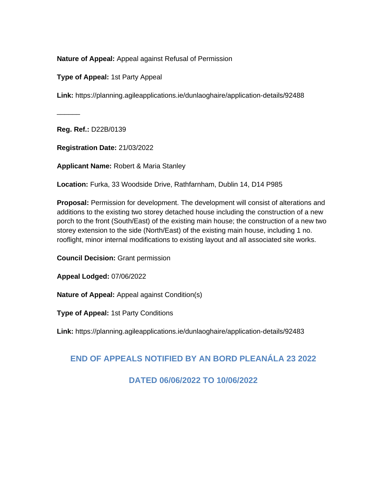**Nature of Appeal:** Appeal against Refusal of Permission

**Type of Appeal:** 1st Party Appeal

**Link:** https://planning.agileapplications.ie/dunlaoghaire/application-details/92488

**Reg. Ref.:** D22B/0139

 $\overline{\phantom{a}}$ 

**Registration Date:** 21/03/2022

**Applicant Name:** Robert & Maria Stanley

**Location:** Furka, 33 Woodside Drive, Rathfarnham, Dublin 14, D14 P985

**Proposal:** Permission for development. The development will consist of alterations and additions to the existing two storey detached house including the construction of a new porch to the front (South/East) of the existing main house; the construction of a new two storey extension to the side (North/East) of the existing main house, including 1 no. rooflight, minor internal modifications to existing layout and all associated site works.

**Council Decision:** Grant permission

**Appeal Lodged:** 07/06/2022

**Nature of Appeal:** Appeal against Condition(s)

**Type of Appeal:** 1st Party Conditions

**Link:** https://planning.agileapplications.ie/dunlaoghaire/application-details/92483

## **END OF APPEALS NOTIFIED BY AN BORD PLEANÁLA 23 2022**

### **DATED 06/06/2022 TO 10/06/2022**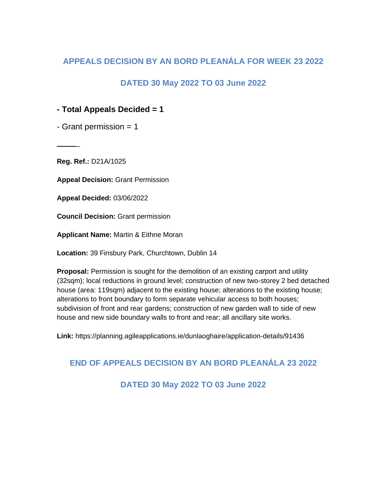## **APPEALS DECISION BY AN BORD PLEANÁLA FOR WEEK 23 2022**

## **DATED 30 May 2022 TO 03 June 2022**

## **- Total Appeals Decided = 1**

 $-$  Grant permission  $= 1$ 

**Reg. Ref.:** D21A/1025

 $\overline{\phantom{a}}$ 

**Appeal Decision:** Grant Permission

**Appeal Decided:** 03/06/2022

**Council Decision:** Grant permission

**Applicant Name:** Martin & Eithne Moran

**Location:** 39 Finsbury Park, Churchtown, Dublin 14

**Proposal:** Permission is sought for the demolition of an existing carport and utility (32sqm); local reductions in ground level; construction of new two-storey 2 bed detached house (area: 119sqm) adjacent to the existing house; alterations to the existing house; alterations to front boundary to form separate vehicular access to both houses; subdivision of front and rear gardens; construction of new garden wall to side of new house and new side boundary walls to front and rear; all ancillary site works.

**Link:** https://planning.agileapplications.ie/dunlaoghaire/application-details/91436

## **END OF APPEALS DECISION BY AN BORD PLEANÁLA 23 2022**

**DATED 30 May 2022 TO 03 June 2022**